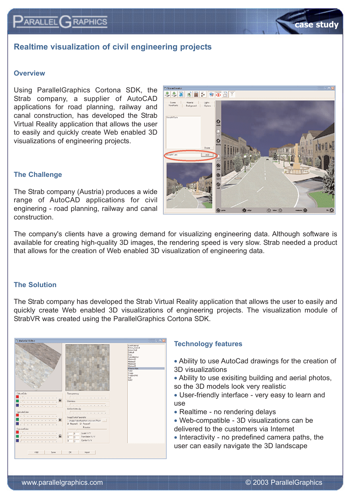## **Realtime visualization of civil engineering projects**

## **Overview**

 $\mathsf{P}_{\mathsf{ARALLEL}}$  $\mathsf{G}_{\mathsf{RAPHICS}}$ 

Using ParallelGraphics Cortona SDK, the Strab company, a supplier of AutoCAD applications for road planning, railway and canal construction, has developed the Strab Virtual Reality application that allows the user to easily and quickly create Web enabled 3D visualizations of engineering projects.



## **The Challenge**

The Strab company (Austria) produces a wide range of AutoCAD applications for civil enginering - road planning, railway and canal construction.

The company's clients have a growing demand for visualizing engineering data. Although software is available for creating high-quality 3D images, the rendering speed is very slow. Strab needed a product that allows for the creation of Web enabled 3D visualization of engineering data.

## **The Solution**

The Strab company has developed the Strab Virtual Reality application that allows the user to easily and quickly create Web enabled 3D visualizations of engineering projects. The visualization module of StrabVR was created using the ParallelGraphics Cortona SDK.



## **Technology features**

- Ability to use AutoCad drawings for the creation of 3D visualizations
- Ability to use exisiting building and aerial photos, so the 3D models look very realistic
- User-friendly interface very easy to learn and use
- Realtime no rendering delays
- Web-compatible 3D visualizations can be delivered to the customers via Internet
- Interactivity no predefined camera paths, the user can easily navigate the 3D landscape